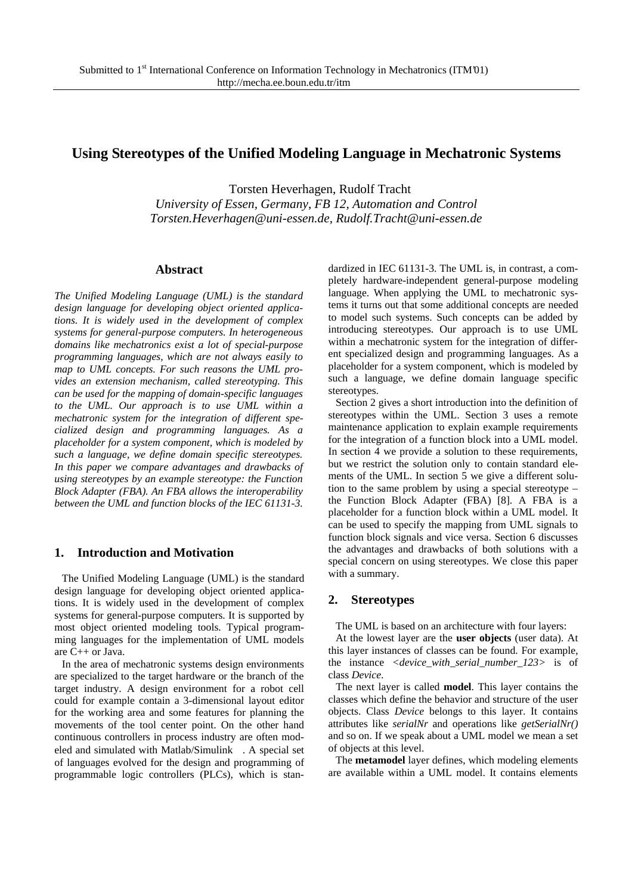# **Using Stereotypes of the Unified Modeling Language in Mechatronic Systems**

Torsten Heverhagen, Rudolf Tracht

*University of Essen, Germany, FB 12, Automation and Control Torsten.Heverhagen@uni-essen.de, Rudolf.Tracht@uni-essen.de*

#### **Abstract**

*The Unified Modeling Language (UML) is the standard design language for developing object oriented applications. It is widely used in the development of complex systems for general-purpose computers. In heterogeneous domains like mechatronics exist a lot of special-purpose programming languages, which are not always easily to map to UML concepts. For such reasons the UML provides an extension mechanism, called stereotyping. This can be used for the mapping of domain-specific languages to the UML. Our approach is to use UML within a mechatronic system for the integration of different specialized design and programming languages. As a placeholder for a system component, which is modeled by such a language, we define domain specific stereotypes. In this paper we compare advantages and drawbacks of using stereotypes by an example stereotype: the Function Block Adapter (FBA). An FBA allows the interoperability between the UML and function blocks of the IEC 61131-3.*

## **1. Introduction and Motivation**

The Unified Modeling Language (UML) is the standard design language for developing object oriented applications. It is widely used in the development of complex systems for general-purpose computers. It is supported by most object oriented modeling tools. Typical programming languages for the implementation of UML models are C++ or Java.

In the area of mechatronic systems design environments are specialized to the target hardware or the branch of the target industry. A design environment for a robot cell could for example contain a 3-dimensional layout editor for the working area and some features for planning the movements of the tool center point. On the other hand continuous controllers in process industry are often modeled and simulated with Matlab/Simulink™. A special set of languages evolved for the design and programming of programmable logic controllers (PLCs), which is standardized in IEC 61131-3. The UML is, in contrast, a completely hardware-independent general-purpose modeling language. When applying the UML to mechatronic systems it turns out that some additional concepts are needed to model such systems. Such concepts can be added by introducing stereotypes. Our approach is to use UML within a mechatronic system for the integration of different specialized design and programming languages. As a placeholder for a system component, which is modeled by such a language, we define domain language specific stereotypes.

Section 2 gives a short introduction into the definition of stereotypes within the UML. Section 3 uses a remote maintenance application to explain example requirements for the integration of a function block into a UML model. In section 4 we provide a solution to these requirements, but we restrict the solution only to contain standard elements of the UML. In section 5 we give a different solution to the same problem by using a special stereotype – the Function Block Adapter (FBA) [8]. A FBA is a placeholder for a function block within a UML model. It can be used to specify the mapping from UML signals to function block signals and vice versa. Section 6 discusses the advantages and drawbacks of both solutions with a special concern on using stereotypes. We close this paper with a summary.

### **2. Stereotypes**

The UML is based on an architecture with four layers:

At the lowest layer are the **user objects** (user data). At this layer instances of classes can be found. For example, the instance *<device\_with\_serial\_number\_123>* is of class *Device*.

The next layer is called **model**. This layer contains the classes which define the behavior and structure of the user objects. Class *Device* belongs to this layer. It contains attributes like *serialNr* and operations like *getSerialNr()* and so on. If we speak about a UML model we mean a set of objects at this level.

The **metamodel** layer defines, which modeling elements are available within a UML model. It contains elements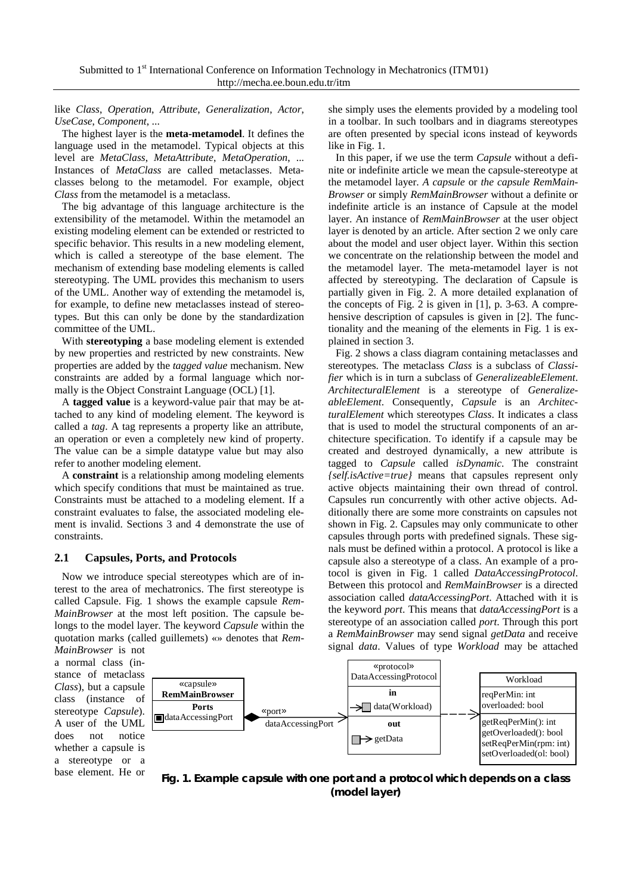like *Class*, *Operation*, *Attribute*, *Generalization*, *Actor*, *UseCase*, *Component*, ...

The highest layer is the **meta-metamodel**. It defines the language used in the metamodel. Typical objects at this level are *MetaClass*, *MetaAttribute*, *MetaOperation*, ... Instances of *MetaClass* are called metaclasses. Metaclasses belong to the metamodel. For example, object *Class* from the metamodel is a metaclass.

The big advantage of this language architecture is the extensibility of the metamodel. Within the metamodel an existing modeling element can be extended or restricted to specific behavior. This results in a new modeling element, which is called a stereotype of the base element. The mechanism of extending base modeling elements is called stereotyping. The UML provides this mechanism to users of the UML. Another way of extending the metamodel is, for example, to define new metaclasses instead of stereotypes. But this can only be done by the standardization committee of the UML.

With **stereotyping** a base modeling element is extended by new properties and restricted by new constraints. New properties are added by the *tagged value* mechanism. New constraints are added by a formal language which normally is the Object Constraint Language (OCL) [1].

A **tagged value** is a keyword-value pair that may be attached to any kind of modeling element. The keyword is called a *tag*. A tag represents a property like an attribute, an operation or even a completely new kind of property. The value can be a simple datatype value but may also refer to another modeling element.

A **constraint** is a relationship among modeling elements which specify conditions that must be maintained as true. Constraints must be attached to a modeling element. If a constraint evaluates to false, the associated modeling element is invalid. Sections 3 and 4 demonstrate the use of constraints.

#### **2.1 Capsules, Ports, and Protocols**

Now we introduce special stereotypes which are of interest to the area of mechatronics. The first stereotype is called Capsule. Fig. 1 shows the example capsule *Rem-MainBrowser* at the most left position. The capsule belongs to the model layer. The keyword *Capsule* within the quotation marks (called guillemets) «» denotes that *Rem-*

she simply uses the elements provided by a modeling tool in a toolbar. In such toolbars and in diagrams stereotypes are often presented by special icons instead of keywords like in Fig. 1.

In this paper, if we use the term *Capsule* without a definite or indefinite article we mean the capsule-stereotype at the metamodel layer. *A capsule* or *the capsule RemMain-Browser* or simply *RemMainBrowser* without a definite or indefinite article is an instance of Capsule at the model layer. An instance of *RemMainBrowser* at the user object layer is denoted by an article. After section 2 we only care about the model and user object layer. Within this section we concentrate on the relationship between the model and the metamodel layer. The meta-metamodel layer is not affected by stereotyping. The declaration of Capsule is partially given in Fig. 2. A more detailed explanation of the concepts of Fig. 2 is given in [1], p. 3-63. A comprehensive description of capsules is given in [2]. The functionality and the meaning of the elements in Fig. 1 is explained in section 3.

Fig. 2 shows a class diagram containing metaclasses and stereotypes. The metaclass *Class* is a subclass of *Classifier* which is in turn a subclass of *GeneralizeableElement*. *ArchitecturalElement* is a stereotype of *GeneralizeableElement*. Consequently, *Capsule* is an *ArchitecturalElement* which stereotypes *Class*. It indicates a class that is used to model the structural components of an architecture specification. To identify if a capsule may be created and destroyed dynamically, a new attribute is tagged to *Capsule* called *isDynamic*. The constraint *{self.isActive=true}* means that capsules represent only active objects maintaining their own thread of control. Capsules run concurrently with other active objects. Additionally there are some more constraints on capsules not shown in Fig. 2. Capsules may only communicate to other capsules through ports with predefined signals. These signals must be defined within a protocol. A protocol is like a capsule also a stereotype of a class. An example of a protocol is given in Fig. 1 called *DataAccessingProtocol*. Between this protocol and *RemMainBrowser* is a directed association called *dataAccessingPort*. Attached with it is the keyword *port*. This means that *dataAccessingPort* is a stereotype of an association called *port*. Through this port a *RemMainBrowser* may send signal *getData* and receive signal *data*. Values of type *Workload* may be attached

*MainBrowser* is not a normal class (instance of metaclass *Class*), but a capsule class (instance of stereotype *Capsule*). A user of the UML does not notice whether a capsule is a stereotype or a base element. He or



**Fig. 1. Example capsule with one port and a protocol which depends on a class (model layer)**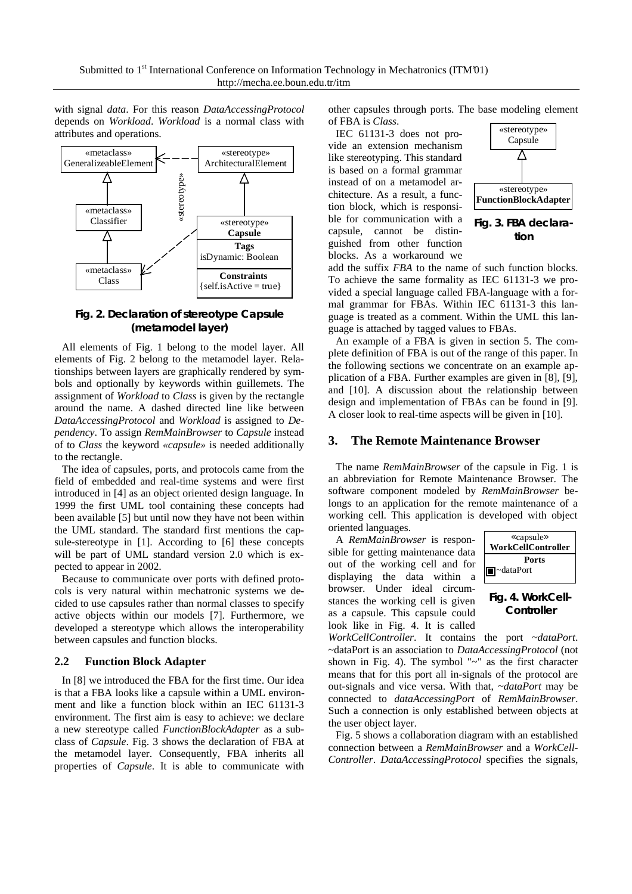with signal *data*. For this reason *DataAccessingProtocol* depends on *Workload*. *Workload* is a normal class with attributes and operations.



## **Fig. 2. Declaration of stereotype Capsule (metamodel layer)**

All elements of Fig. 1 belong to the model layer. All elements of Fig. 2 belong to the metamodel layer. Relationships between layers are graphically rendered by symbols and optionally by keywords within guillemets. The assignment of *Workload* to *Class* is given by the rectangle around the name. A dashed directed line like between *DataAccessingProtocol* and *Workload* is assigned to *Dependency*. To assign *RemMainBrowser* to *Capsule* instead of to *Class* the keyword *«capsule»* is needed additionally to the rectangle.

The idea of capsules, ports, and protocols came from the field of embedded and real-time systems and were first introduced in [4] as an object oriented design language. In 1999 the first UML tool containing these concepts had been available [5] but until now they have not been within the UML standard. The standard first mentions the capsule-stereotype in [1]. According to [6] these concepts will be part of UML standard version 2.0 which is expected to appear in 2002.

Because to communicate over ports with defined protocols is very natural within mechatronic systems we decided to use capsules rather than normal classes to specify active objects within our models [7]. Furthermore, we developed a stereotype which allows the interoperability between capsules and function blocks.

### **2.2 Function Block Adapter**

In [8] we introduced the FBA for the first time. Our idea is that a FBA looks like a capsule within a UML environment and like a function block within an IEC 61131-3 environment. The first aim is easy to achieve: we declare a new stereotype called *FunctionBlockAdapter* as a subclass of *Capsule*. Fig. 3 shows the declaration of FBA at the metamodel layer. Consequently, FBA inherits all properties of *Capsule*. It is able to communicate with

other capsules through ports. The base modeling element of FBA is *Class*.

IEC 61131-3 does not provide an extension mechanism like stereotyping. This standard is based on a formal grammar instead of on a metamodel architecture. As a result, a function block, which is responsible for communication with a capsule, cannot be distinguished from other function blocks. As a workaround we



**tion**

add the suffix *FBA* to the name of such function blocks. To achieve the same formality as IEC 61131-3 we provided a special language called FBA-language with a formal grammar for FBAs. Within IEC 61131-3 this language is treated as a comment. Within the UML this language is attached by tagged values to FBAs.

An example of a FBA is given in section 5. The complete definition of FBA is out of the range of this paper. In the following sections we concentrate on an example application of a FBA. Further examples are given in [8], [9], and [10]. A discussion about the relationship between design and implementation of FBAs can be found in [9]. A closer look to real-time aspects will be given in [10].

### **3. The Remote Maintenance Browser**

The name *RemMainBrowser* of the capsule in Fig. 1 is an abbreviation for Remote Maintenance Browser. The software component modeled by *RemMainBrowser* belongs to an application for the remote maintenance of a working cell. This application is developed with object oriented languages.

A *RemMainBrowser* is responsible for getting maintenance data out of the working cell and for displaying the data within a browser. Under ideal circumstances the working cell is given as a capsule. This capsule could look like in Fig. 4. It is called



## **Fig. 4. WorkCell-Controller**

*WorkCellController*. It contains the port *~dataPort*. ~dataPort is an association to *DataAccessingProtocol* (not shown in Fig. 4). The symbol " $\sim$ " as the first character means that for this port all in-signals of the protocol are out-signals and vice versa. With that, *~dataPort* may be connected to *dataAccessingPort* of *RemMainBrowser*. Such a connection is only established between objects at the user object layer.

Fig. 5 shows a collaboration diagram with an established connection between a *RemMainBrowser* and a *WorkCell-Controller*. *DataAccessingProtocol* specifies the signals,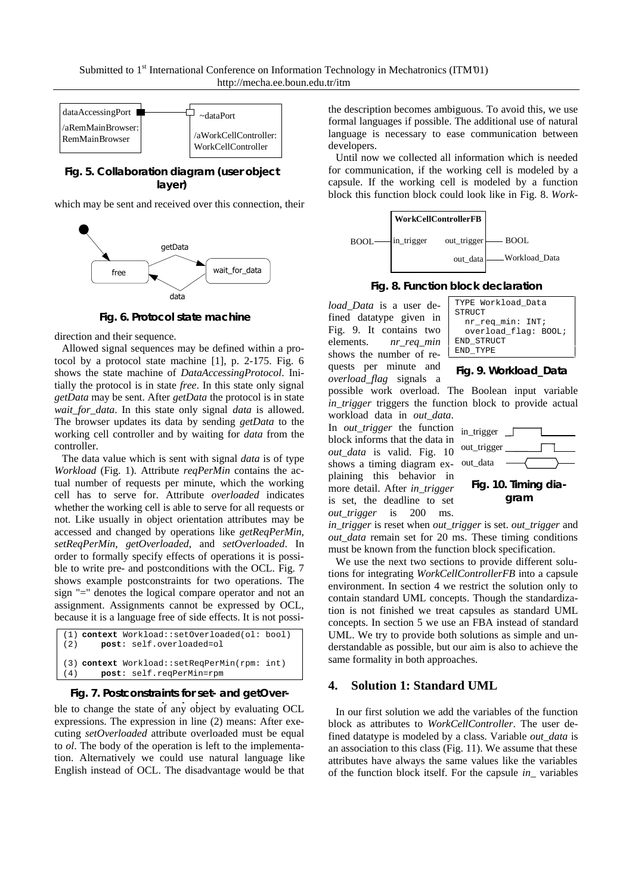

## **Fig. 5. Collaboration diagram (user object layer)**

which may be sent and received over this connection, their



**Fig. 6. Protocol state machine**

direction and their sequence.

Allowed signal sequences may be defined within a protocol by a protocol state machine [1], p. 2-175. Fig. 6 shows the state machine of *DataAccessingProtocol*. Initially the protocol is in state *free*. In this state only signal *getData* may be sent. After *getData* the protocol is in state *wait\_for\_data*. In this state only signal *data* is allowed. The browser updates its data by sending *getData* to the working cell controller and by waiting for *data* from the controller.

The data value which is sent with signal *data* is of type *Workload* (Fig. 1). Attribute *reqPerMin* contains the actual number of requests per minute, which the working cell has to serve for. Attribute *overloaded* indicates whether the working cell is able to serve for all requests or not. Like usually in object orientation attributes may be accessed and changed by operations like *getReqPerMin*, *setReqPerMin*, *getOverloaded*, and *setOverloaded*. In order to formally specify effects of operations it is possible to write pre- and postconditions with the OCL. Fig. 7 shows example postconstraints for two operations. The sign "=" denotes the logical compare operator and not an assignment. Assignments cannot be expressed by OCL, because it is a language free of side effects. It is not possi-



### **Fig. 7. Postconstraints for set- and getOver-**

ble to change the state of any object by evaluating OCL expressions. The expression in line (2) means: After executing *setOverloaded* attribute overloaded must be equal to *ol*. The body of the operation is left to the implementation. Alternatively we could use natural language like English instead of OCL. The disadvantage would be that

the description becomes ambiguous. To avoid this, we use formal languages if possible. The additional use of natural language is necessary to ease communication between developers.

Until now we collected all information which is needed for communication, if the working cell is modeled by a capsule. If the working cell is modeled by a function block this function block could look like in Fig. 8. *Work-*



**Fig. 8. Function block declaration**

*load\_Data* is a user defined datatype given in Fig. 9. It contains two elements. *nr\_req\_min* shows the number of requests per minute and *overload\_flag* signals a



## **Fig. 9. Workload\_Data**

possible work overload. The Boolean input variable *in\_trigger* triggers the function block to provide actual

workload data in *out\_data*. In *out\_trigger* the function block informs that the data in *out\_data* is valid. Fig. 10 shows a timing diagram explaining this behavior in more detail. After *in\_trigger* is set, the deadline to set *out\_trigger* is 200 ms.



*in\_trigger* is reset when *out\_trigger* is set. *out\_trigger* and *out\_data* remain set for 20 ms. These timing conditions must be known from the function block specification.

We use the next two sections to provide different solutions for integrating *WorkCellControllerFB* into a capsule environment. In section 4 we restrict the solution only to contain standard UML concepts. Though the standardization is not finished we treat capsules as standard UML concepts. In section 5 we use an FBA instead of standard UML. We try to provide both solutions as simple and understandable as possible, but our aim is also to achieve the same formality in both approaches.

## **4. Solution 1: Standard UML**

In our first solution we add the variables of the function block as attributes to *WorkCellController*. The user defined datatype is modeled by a class. Variable *out\_data* is an association to this class (Fig. 11). We assume that these attributes have always the same values like the variables of the function block itself. For the capsule *in\_* variables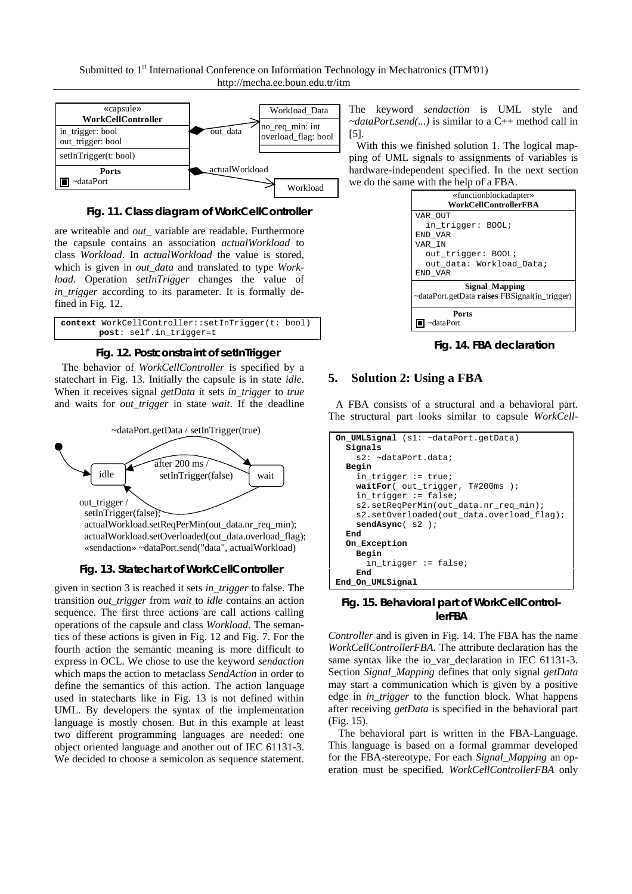Submitted to 1<sup>st</sup> International Conference on Information Technology in Mechatronics (ITM'01) http://mecha.ee.boun.edu.tr/itm



**Fig. 11. Class diagram of WorkCellController**

are writeable and *out\_* variable are readable. Furthermore the capsule contains an association *actualWorkload* to class *Workload*. In *actualWorkload* the value is stored, which is given in *out\_data* and translated to type *Workload*. Operation *setInTrigger* changes the value of *in trigger* according to its parameter. It is formally defined in Fig. 12.

| context WorkCellController::setInTrigger(t: bool) |                         |  |
|---------------------------------------------------|-------------------------|--|
|                                                   | post: self.in trigger=t |  |

**Fig. 12. Postconstraint of setInTrigger**

The behavior of *WorkCellController* is specified by a statechart in Fig. 13. Initially the capsule is in state *idle*. When it receives signal *getData* it sets *in\_trigger* to *true* and waits for *out\_trigger* in state *wait*. If the deadline



**Fig. 13. Statechart of WorkCellController**

given in section 3 is reached it sets *in\_trigger* to false. The transition *out\_trigger* from *wait* to *idle* contains an action sequence. The first three actions are call actions calling operations of the capsule and class *Workload*. The semantics of these actions is given in Fig. 12 and Fig. 7. For the fourth action the semantic meaning is more difficult to express in OCL. We chose to use the keyword *sendaction* which maps the action to metaclass *SendAction* in order to define the semantics of this action. The action language used in statecharts like in Fig. 13 is not defined within UML. By developers the syntax of the implementation language is mostly chosen. But in this example at least two different programming languages are needed: one object oriented language and another out of IEC 61131-3. We decided to choose a semicolon as sequence statement.

The keyword *sendaction* is UML style and *~dataPort.send(...)* is similar to a C++ method call in [5].

With this we finished solution 1. The logical mapping of UML signals to assignments of variables is hardware-independent specified. In the next section we do the same with the help of a FBA.

| «functionblockadapter»                        |                          |  |
|-----------------------------------------------|--------------------------|--|
| <b>WorkCellControllerFBA</b>                  |                          |  |
| VAR OUT                                       |                          |  |
| in_trigger: BOOL;                             |                          |  |
| END VAR                                       |                          |  |
| VAR IN                                        |                          |  |
| out trigger: BOOL;                            |                          |  |
|                                               | out_data: Workload Data; |  |
| END VAR                                       |                          |  |
| Signal Mapping                                |                          |  |
| ~dataPort.getData raises FBSignal(in_trigger) |                          |  |
| <b>Ports</b>                                  |                          |  |
| -dataPort                                     |                          |  |

**Fig. 14. FBA declaration**

## **5. Solution 2: Using a FBA**

A FBA consists of a structural and a behavioral part. The structural part looks similar to capsule *WorkCell-*

```
On_UMLSignal (s1: ~dataPort.getData)
   Signals
     s2: ~dataPort.data;
   Begin
     in_trigger := true;
     waitFor( out_trigger, T#200ms );
    in trigger := false;
     s2.setReqPerMin(out_data.nr_req_min);
     s2.setOverloaded(out_data.overload_flag);
     sendAsync( s2 );
   End
   On_Exception
     Begin
       in_trigger := false;
     End
End_On_UMLSignal
```
### **Fig. 15. Behavioral part of WorkCellControllerFBA**

*Controller* and is given in Fig. 14. The FBA has the name *WorkCellControllerFBA*. The attribute declaration has the same syntax like the io var declaration in IEC 61131-3. Section *Signal\_Mapping* defines that only signal *getData* may start a communication which is given by a positive edge in *in trigger* to the function block. What happens after receiving *getData* is specified in the behavioral part (Fig. 15).

 The behavioral part is written in the FBA-Language. This language is based on a formal grammar developed for the FBA-stereotype. For each *Signal\_Mapping* an operation must be specified. *WorkCellControllerFBA* only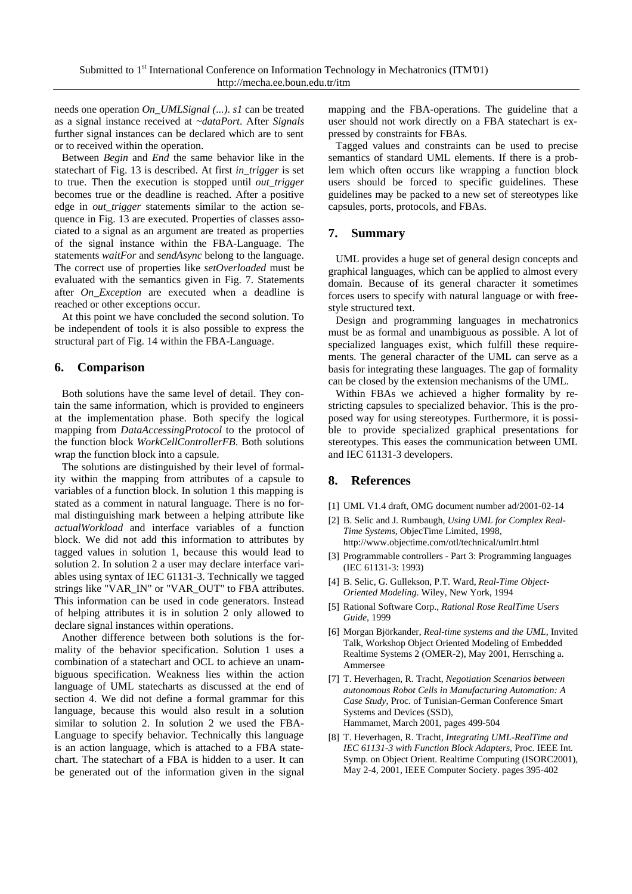needs one operation *On\_UMLSignal (...)*. *s1* can be treated as a signal instance received at *~dataPort*. After *Signals* further signal instances can be declared which are to sent or to received within the operation.

Between *Begin* and *End* the same behavior like in the statechart of Fig. 13 is described. At first *in\_trigger* is set to true. Then the execution is stopped until *out\_trigger* becomes true or the deadline is reached. After a positive edge in *out\_trigger* statements similar to the action sequence in Fig. 13 are executed. Properties of classes associated to a signal as an argument are treated as properties of the signal instance within the FBA-Language. The statements *waitFor* and *sendAsync* belong to the language. The correct use of properties like *setOverloaded* must be evaluated with the semantics given in Fig. 7. Statements after *On Exception* are executed when a deadline is reached or other exceptions occur.

At this point we have concluded the second solution. To be independent of tools it is also possible to express the structural part of Fig. 14 within the FBA-Language.

### **6. Comparison**

Both solutions have the same level of detail. They contain the same information, which is provided to engineers at the implementation phase. Both specify the logical mapping from *DataAccessingProtocol* to the protocol of the function block *WorkCellControllerFB*. Both solutions wrap the function block into a capsule.

The solutions are distinguished by their level of formality within the mapping from attributes of a capsule to variables of a function block. In solution 1 this mapping is stated as a comment in natural language. There is no formal distinguishing mark between a helping attribute like *actualWorkload* and interface variables of a function block. We did not add this information to attributes by tagged values in solution 1, because this would lead to solution 2. In solution 2 a user may declare interface variables using syntax of IEC 61131-3. Technically we tagged strings like "VAR\_IN" or "VAR\_OUT" to FBA attributes. This information can be used in code generators. Instead of helping attributes it is in solution 2 only allowed to declare signal instances within operations.

Another difference between both solutions is the formality of the behavior specification. Solution 1 uses a combination of a statechart and OCL to achieve an unambiguous specification. Weakness lies within the action language of UML statecharts as discussed at the end of section 4. We did not define a formal grammar for this language, because this would also result in a solution similar to solution 2. In solution 2 we used the FBA-Language to specify behavior. Technically this language is an action language, which is attached to a FBA statechart. The statechart of a FBA is hidden to a user. It can be generated out of the information given in the signal mapping and the FBA-operations. The guideline that a user should not work directly on a FBA statechart is expressed by constraints for FBAs.

Tagged values and constraints can be used to precise semantics of standard UML elements. If there is a problem which often occurs like wrapping a function block users should be forced to specific guidelines. These guidelines may be packed to a new set of stereotypes like capsules, ports, protocols, and FBAs.

### **7. Summary**

UML provides a huge set of general design concepts and graphical languages, which can be applied to almost every domain. Because of its general character it sometimes forces users to specify with natural language or with freestyle structured text.

Design and programming languages in mechatronics must be as formal and unambiguous as possible. A lot of specialized languages exist, which fulfill these requirements. The general character of the UML can serve as a basis for integrating these languages. The gap of formality can be closed by the extension mechanisms of the UML.

Within FBAs we achieved a higher formality by restricting capsules to specialized behavior. This is the proposed way for using stereotypes. Furthermore, it is possible to provide specialized graphical presentations for stereotypes. This eases the communication between UML and IEC 61131-3 developers.

## **8. References**

- [1] UML V1.4 draft, OMG document number ad/2001-02-14
- [2] B. Selic and J. Rumbaugh, *Using UML for Complex Real-Time Systems*, ObjecTime Limited, 1998, http://www.objectime.com/otl/technical/umlrt.html
- [3] Programmable controllers Part 3: Programming languages (IEC 61131-3: 1993)
- [4] B. Selic, G. Gullekson, P.T. Ward, *Real-Time Object-Oriented Modeling*. Wiley, New York, 1994
- [5] Rational Software Corp., *Rational Rose RealTime Users Guide*, 1999
- [6] Morgan Björkander, *Real-time systems and the UML*, Invited Talk, Workshop Object Oriented Modeling of Embedded Realtime Systems 2 (OMER-2), May 2001, Herrsching a. Ammersee
- [7] T. Heverhagen, R. Tracht, *Negotiation Scenarios between autonomous Robot Cells in Manufacturing Automation: A Case Study*, Proc. of Tunisian-German Conference Smart Systems and Devices (SSD), Hammamet, March 2001, pages 499-504
- [8] T. Heverhagen, R. Tracht, *Integrating UML-RealTime and IEC 61131-3 with Function Block Adapters*, Proc. IEEE Int. Symp. on Object Orient. Realtime Computing (ISORC2001), May 2-4, 2001, IEEE Computer Society. pages 395-402